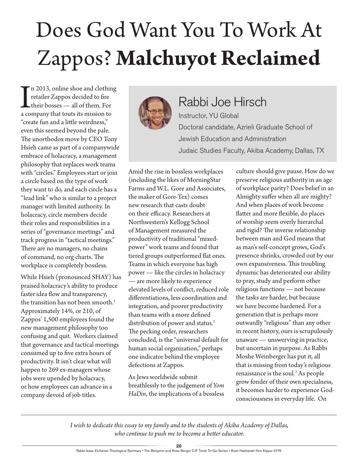## Does God Want You To Work At Zappos? **Malchuyot Reclaimed**

In 2013, online shoe and clothin<br>retailer Zappos decided to fire<br>their bosses — all of them. For<br>a company that touts its mission to n 2013, online shoe and clothing retailer Zappos decided to fire their bosses — all of them. For "create fun and a little weirdness," even this seemed beyond the pale. The unorthodox move by CEO Tony Hsieh came as part of a companywide embrace of holacracy, a management philosophy that replaces work teams with "circles." Employees start or join a circle based on the type of work they want to do, and each circle has a "lead link" who is similar to a project manager with limited authority. In holacracy, circle members decide their roles and responsibilities in a series of "governance meetings" and track progress in "tactical meetings." There are no managers, no chains of command, no org charts. The workplace is completely bossless.

While Hsieh (pronounced SHAY) has praised holacracy's ability to produce faster idea flow and transparency, the transition has not been smooth.<sup>1</sup> Approximately 14%, or 210, of Zappos' 1,500 employees found the new management philosophy too confusing and quit. Workers claimed that governance and tactical meetings consumed up to five extra hours of productivity. It isn't clear what will happen to 269 ex-managers whose jobs were upended by holacracy, or how employees can advance in a company devoid of job titles.



## Rabbi Joe Hirsch Instructor, YU Global

Doctoral candidate, Azrieli Graduate School of Jewish Education and Administration Judaic Studies Faculty, Akiba Academy, Dallas, TX

Amid the rise in bossless workplaces (including the likes of MorningStar Farms and W.L. Gore and Associates, the maker of Gore-Tex) comes new research that casts doubt on their efficacy. Researchers at Northwestern's Kellogg School of Management measured the productivity of traditional "mixedpower" work teams and found that tiered groups outperformed flat ones. Teams in which everyone has high power — like the circles in holacracy — are more likely to experience elevated levels of conflict, reduced role differentiations, less coordination and integration, and poorer productivity than teams with a more defined distribution of power and status.<sup>2</sup> The pecking order, researchers concluded, is the "universal default for human social organization," perhaps one indicator behind the employee defections at Zappos.

As Jews worldwide submit breathlessly to the judgement of *Yom HaDin*, the implications of a bossless culture should give pause. How do we preserve religious authority in an age of workplace parity? Does belief in an Almighty suffer when all are mighty? And when places of work become flatter and more flexible, do places of worship seem overly hierarchal and rigid? The inverse relationship between man and God means that as man's self-concept grows, God's presence shrinks, crowded out by our own expansiveness. This troubling dynamic has deteriorated our ability to pray, study and perform other religious functions — not because the tasks are harder, but because we have become hardened. For a generation that is perhaps more outwardly "religious" than any other in recent history, ours is scrupulously unaware — unswerving in practice, but uncertain in purpose. As Rabbi Moshe Weinberger has put it, all that is missing from today's religious renaissance is the soul.<sup>3</sup> As people grow fonder of their own specialness, it becomes harder to experience Godconsciousness in everyday life. On

*I wish to dedicate this essay to my family and to the students of Akiba Academy of Dallas, who continue to push me to become a better educator.*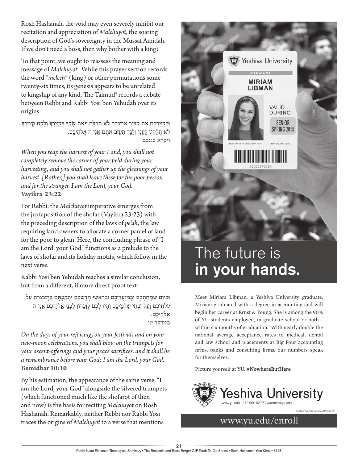Rosh Hashanah, the void may even severely inhibit our recitation and appreciation of *Malchuyot*, the soaring description of God's sovereignty in the Mussaf Amidah. If we don't need a boss, then why bother with a king?

To that point, we ought to reassess the meaning and message of *Malchuyot*. While this prayer section records the word "*melech*" (king) or other permutations some twenty-six times, its genesis appears to be unrelated to kingship of any kind. The Talmud<sup>4</sup> records a debate between Rebbi and Rabbi Yosi ben Yehudah over its origins:

וּבְקַצְרְכֶם אֶת קְצִיר אַרְצְכֶם לֹא תְכַלֶּה פְּאַת שָׂדְךָּ בְּקֻצְרֶךָּ וְלֶקֶט קְצִיְרָךָ לֹא תִלַּקֵט לֵעֲנִי וְלַגֵּר תַּעֲזֹב אֹתָם אֲנִי ה אֱלֹהֵיכֶם. **ויקרא כג:כב**

*When you reap the harvest of your Land, you shall not completely remove the corner of your field during your harvesting, and you shall not gather up the gleanings of your harvest. [Rather,] you shall leave these for the poor person and for the stranger. I am the Lord, your God.*  **Vayikra 23:22**

For Rebbi, the *Malchuyot* imperative emerges from the juxtaposition of the shofar (Vayikra 23:23) with the preceding description of the laws of *pe'ah*, the law requiring land owners to allocate a corner parcel of land for the poor to glean. Here, the concluding phrase of "I am the Lord, your God" functions as a prelude to the laws of shofar and its holiday motifs, which follow in the next verse.

Rabbi Yosi ben Yehudah reaches a similar conclusion, but from a different, if more direct proof text:

ּובְ יֹום ׂשִ מְ חַ תְ כֶ ם ּובְ מֹועֲ דֵ יכֶ ם ּובְ רָ אׁשֵ י חָ דְ ׁשֵ כֶ ם ּותְ קַ עְ ּתֶ ם ּבַ חֲ צֹצְ רֹת עַ ל עֹלתֵיכֶם וְעַל זִבְחֵי שַׁלְמֵיכֶם וְהַיּוּ לַכֶם לְזִכֲרוֹן לִפְנֵי אֱלֹהֵיכֶם אֲנִי ה אלהיכם. **במדבר י:י**

*On the days of your rejoicing, on your festivals and on your new-moon celebrations, you shall blow on the trumpets for your ascent-offerings and your peace sacrifices, and it shall be a remembrance before your God; I am the Lord, your God.*  **Bemidbar 10:10**

By his estimation, the appearance of the same verse, "I am the Lord, your God" alongside the silvered trumpets (which functioned much like the shofarot of then and now) is the basis for reciting *Malchuyot* on Rosh Hashanah. Remarkably, neither Rebbi nor Rabbi Yosi traces the origins of *Malchuyot* to a verse that mentions www.yu.edu/enroll



## The future is in your hands.

Meet Miriam Libman, a Yeshiva University graduate. Miriam graduated with a degree in accounting and will begin her career at Ernst & Young. She is among the 90% of YU students employed, in graduate school or both within six months of graduation.\* With nearly double the national average acceptance rates to medical, dental and law school and placements at Big Four accounting firms, banks and consulting firms, our numbers speak for themselves.

Picture yourself at YU. #NowhereButHere



\*Career Center Survey, 2013/2014